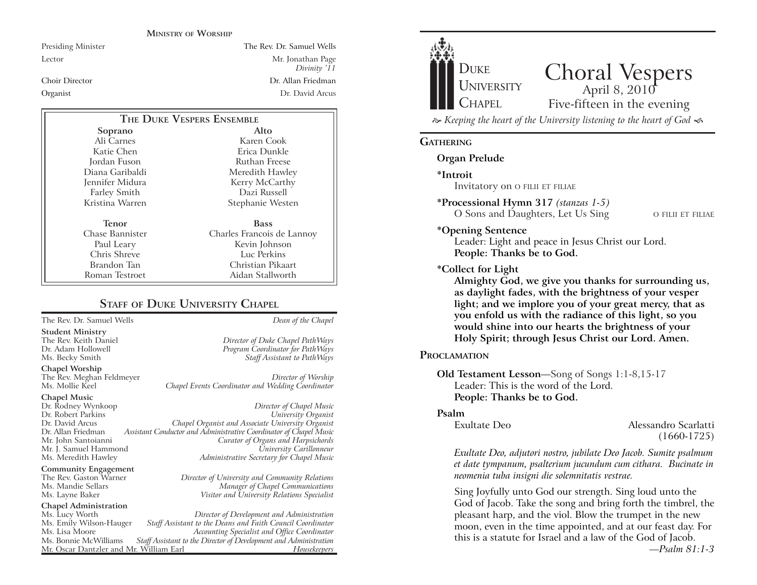#### **MINISTRY OF WORSHIP**

Presiding Minister The Rev. Dr. Samuel Wells Lector Mr. Jonathan Page *Divinity '11* Choir Director Dr. Allan FriedmanOrganist Dr. David Arcus

| THE DUKE VESPERS ENSEMBLE |                            |
|---------------------------|----------------------------|
| Soprano                   | Alto                       |
| Ali Carnes                | Karen Cook                 |
| Katie Chen                | Erica Dunkle               |
| Jordan Fuson              | Ruthan Freese              |
| Diana Garibaldi           | Meredith Hawley            |
| Jennifer Midura           | Kerry McCarthy             |
| Farley Smith              | Dazi Russell               |
| Kristina Warren           | Stephanie Westen           |
| Tenor                     | <b>Bass</b>                |
| Chase Bannister           | Charles Francois de Lannoy |
| Paul Leary                | Kevin Johnson              |
| Chris Shreve              | Luc Perkins                |
| Brandon Tan               | Christian Pikaart          |
| Roman Testroet            | Aidan Stallworth           |

### **STAFF OF DUKE UNIVERSITY CHAPEL**

The Rev. Dr. Samuel Wells *Dean of the Chapel*

**Student Ministry** The Rev. Keith Daniel *Director of Duke Chapel PathWays* Ms. Becky Smith *Staff Assistant to PathWays*

**Chapel Worship**

The Rev. Meghan Feldmeyer *Director of Worship* Chapel Events Coordinator and Wedding Coordinator

# **Chapel Music**

**Community Engagement**<br>The Rev. Gaston Warner

## **Chapel Administration**

Mr. Oscar Dantzler and Mr. William Earl

Program Coordinator for PathWays

Dr. Rodney Wynkoop *Director of Chapel Music* Dr. Robert Parkins *University Organist* Dr. David Arcus *Chapel Organist and Associate University Organist* Dr. Allan Friedman *Assistant Conductor and Administrative Coordinator of Chapel Music* **Curator of Organs and Harpsichords** Mr. J. Samuel Hammond *University Carillonneur* Ms. Meredith Hawley *Administrative Secretary for Chapel Music*

The Rev. Gaston Warner *Director of University and Community Relations* Ms. Mandie Sellars *Manager of Chapel Communications* Ms. Layne Baker *Visitor and University Relations Specialist*

Ms. Lucy Worth *Director of Development and Administration* Ms. Emily Wilson-Hauger *Staff Assistant to the Deans and Faith Council Coordinator* Ms. Lisa Moore *Accounting Specialist and Office Coordinator* Staff Assistant to the Director of Development and Administration<br>Fassistant Director of Development and *Housekeepers* 



Choral Vespers Five-fifteen in the evening

 *Keeping the heart of the University listening to the heart of God* 

#### **GATHERING**

**Organ Prelude**

**\*Introit** 

Invitatory on O FILII ET FILIAE

**\*Processional Hymn 317** *(stanzas 1-5)* O Sons and Daughters, Let Us Sing

O FILII ET FILIAE

#### **\*Opening Sentence**

Leader: Light and peace in Jesus Christ our Lord. **People: Thanks be to God.**

**\*Collect for Light**

**Almighty God, we give you thanks for surrounding us, as daylight fades, with the brightness of your vesper light; and we implore you of your great mercy, that as you enfold us with the radiance of this light, so you would shine into our hearts the brightness of your Holy Spirit; through Jesus Christ our Lord. Amen.** 

#### **PROCLAMATION**

**Old Testament Lesson**—Song of Songs 1:1-8,15-17 Leader: This is the word of the Lord.**People: Thanks be to God.**

#### **Psalm**

Exultate Deo Alessandro Scarlatti (1660-1725)

*Exultate Deo, adjutori nostro, jubilate Deo Jacob. Sumite psalmum et date tympanum, psalterium jucundum cum cithara. Bucinate in neomenia tuba insigni die solemnitatis vestrae.*

Sing Joyfully unto God our strength. Sing loud unto the God of Jacob. Take the song and bring forth the timbrel, the pleasant harp, and the viol. Blow the trumpet in the new moon, even in the time appointed, and at our feast day. For this is a statute for Israel and a law of the God of Jacob. *—Psalm 81:1-3*